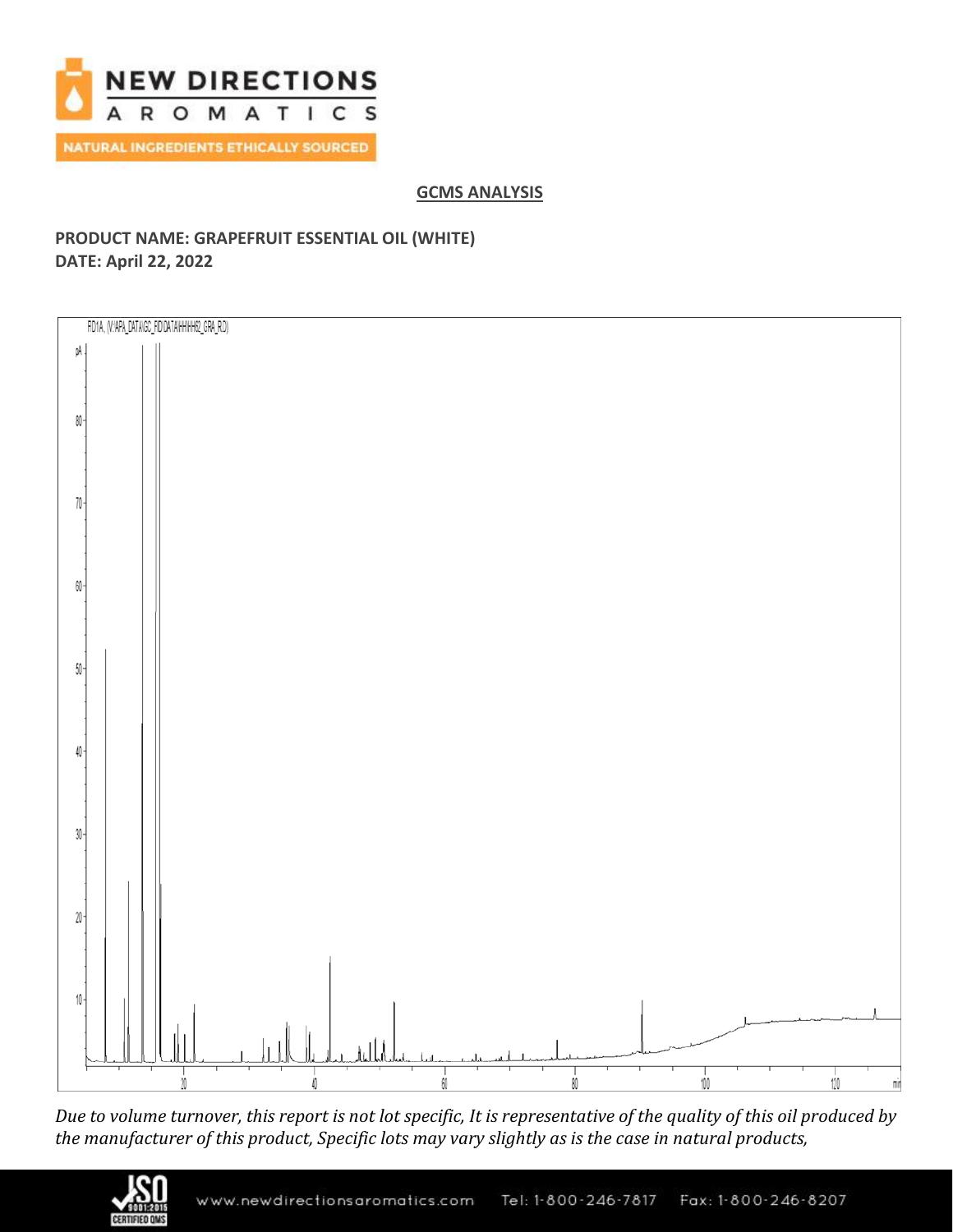

## **GCMS ANALYSIS**

## **PRODUCT NAME: GRAPEFRUIT ESSENTIAL OIL (WHITE) DATE: April 22, 2022**



*Due to volume turnover, this report is not lot specific, It is representative of the quality of this oil produced by the manufacturer of this product, Specific lots may vary slightly as is the case in natural products,*

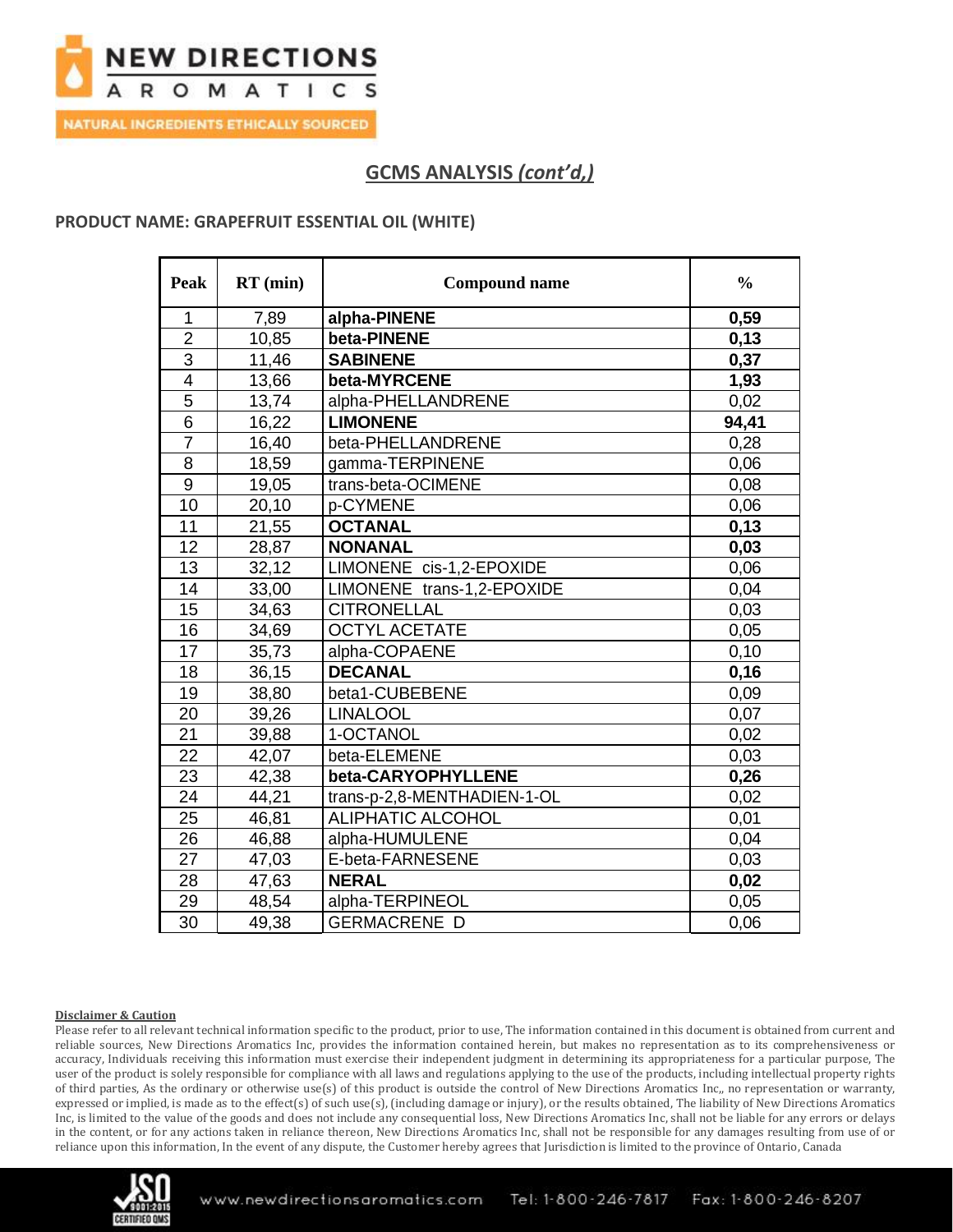

**NATURAL INGREDIENTS ETHICALLY SOURCED** 

# **GCMS ANALYSIS** *(cont'd,)*

### **PRODUCT NAME: GRAPEFRUIT ESSENTIAL OIL (WHITE)**

| <b>Peak</b>    | $RT$ (min) | <b>Compound name</b>        | $\frac{0}{0}$ |
|----------------|------------|-----------------------------|---------------|
| 1              | 7,89       | alpha-PINENE                | 0,59          |
| $\overline{2}$ | 10,85      | beta-PINENE                 | 0,13          |
| 3              | 11,46      | <b>SABINENE</b>             | 0,37          |
| $\overline{4}$ | 13,66      | beta-MYRCENE                | 1,93          |
| 5              | 13,74      | alpha-PHELLANDRENE          | 0,02          |
| $\overline{6}$ | 16,22      | <b>LIMONENE</b>             | 94,41         |
| $\overline{7}$ | 16,40      | beta-PHELLANDRENE           | 0,28          |
| 8              | 18,59      | gamma-TERPINENE             | 0,06          |
| 9              | 19,05      | trans-beta-OCIMENE          | 0,08          |
| 10             | 20,10      | p-CYMENE                    | 0,06          |
| 11             | 21,55      | <b>OCTANAL</b>              | 0,13          |
| 12             | 28,87      | <b>NONANAL</b>              | 0,03          |
| 13             | 32,12      | LIMONENE cis-1,2-EPOXIDE    | 0,06          |
| 14             | 33,00      | LIMONENE trans-1,2-EPOXIDE  | 0,04          |
| 15             | 34,63      | <b>CITRONELLAL</b>          | 0,03          |
| 16             | 34,69      | <b>OCTYL ACETATE</b>        | 0,05          |
| 17             | 35,73      | alpha-COPAENE               | 0,10          |
| 18             | 36,15      | <b>DECANAL</b>              | 0,16          |
| 19             | 38,80      | beta1-CUBEBENE              | 0,09          |
| 20             | 39,26      | <b>LINALOOL</b>             | 0,07          |
| 21             | 39,88      | 1-OCTANOL                   | 0,02          |
| 22             | 42,07      | beta-ELEMENE                | 0,03          |
| 23             | 42,38      | beta-CARYOPHYLLENE          | 0,26          |
| 24             | 44,21      | trans-p-2,8-MENTHADIEN-1-OL | 0,02          |
| 25             | 46,81      | <b>ALIPHATIC ALCOHOL</b>    | 0,01          |
| 26             | 46,88      | alpha-HUMULENE              | 0,04          |
| 27             | 47,03      | E-beta-FARNESENE            | 0,03          |
| 28             | 47,63      | <b>NERAL</b>                | 0,02          |
| 29             | 48,54      | alpha-TERPINEOL             | 0,05          |
| 30             | 49,38      | <b>GERMACRENE D</b>         | 0,06          |

#### **Disclaimer & Caution**

Please refer to all relevant technical information specific to the product, prior to use, The information contained in this document is obtained from current and reliable sources, New Directions Aromatics Inc, provides the information contained herein, but makes no representation as to its comprehensiveness or accuracy, Individuals receiving this information must exercise their independent judgment in determining its appropriateness for a particular purpose, The user of the product is solely responsible for compliance with all laws and regulations applying to the use of the products, including intellectual property rights of third parties, As the ordinary or otherwise use(s) of this product is outside the control of New Directions Aromatics Inc,, no representation or warranty, expressed or implied, is made as to the effect(s) of such use(s), (including damage or injury), or the results obtained, The liability of New Directions Aromatics Inc, is limited to the value of the goods and does not include any consequential loss, New Directions Aromatics Inc, shall not be liable for any errors or delays in the content, or for any actions taken in reliance thereon, New Directions Aromatics Inc, shall not be responsible for any damages resulting from use of or reliance upon this information, In the event of any dispute, the Customer hereby agrees that Jurisdiction is limited to the province of Ontario, Canada